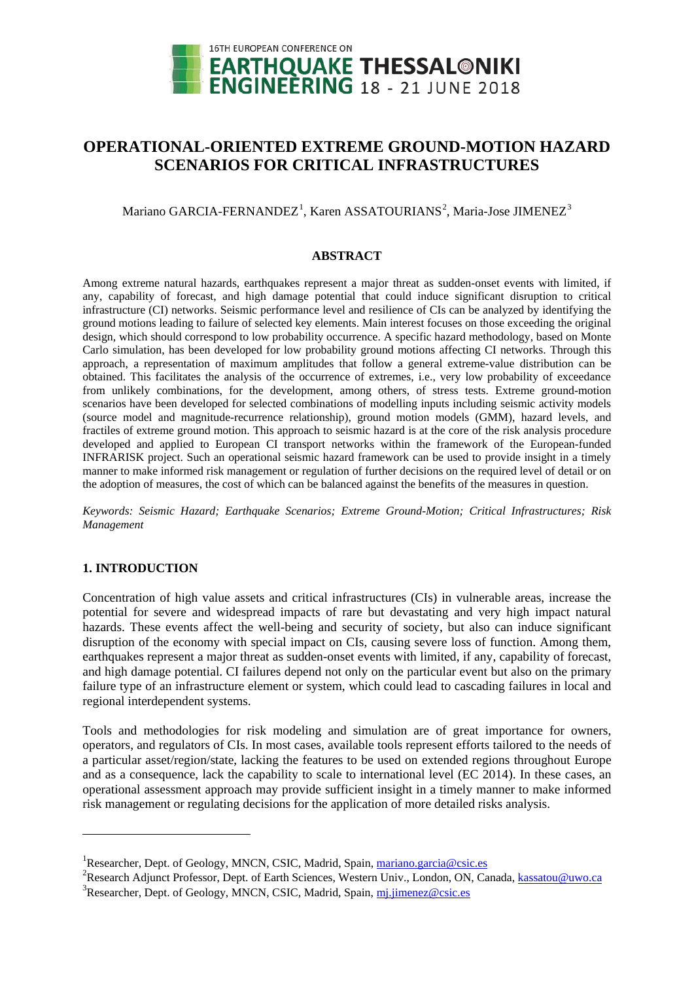

# **OPERATIONAL-ORIENTED EXTREME GROUND-MOTION HAZARD SCENARIOS FOR CRITICAL INFRASTRUCTURES**

Mariano GARCIA-FERNANDEZ<sup>[1](#page-0-0)</sup>, Karen ASSATOURIANS<sup>[2](#page-0-1)</sup>, Maria-Jose JIMENEZ<sup>[3](#page-0-2)</sup>

#### **ABSTRACT**

Among extreme natural hazards, earthquakes represent a major threat as sudden-onset events with limited, if any, capability of forecast, and high damage potential that could induce significant disruption to critical infrastructure (CI) networks. Seismic performance level and resilience of CIs can be analyzed by identifying the ground motions leading to failure of selected key elements. Main interest focuses on those exceeding the original design, which should correspond to low probability occurrence. A specific hazard methodology, based on Monte Carlo simulation, has been developed for low probability ground motions affecting CI networks. Through this approach, a representation of maximum amplitudes that follow a general extreme-value distribution can be obtained. This facilitates the analysis of the occurrence of extremes, i.e., very low probability of exceedance from unlikely combinations, for the development, among others, of stress tests. Extreme ground-motion scenarios have been developed for selected combinations of modelling inputs including seismic activity models (source model and magnitude-recurrence relationship), ground motion models (GMM), hazard levels, and fractiles of extreme ground motion. This approach to seismic hazard is at the core of the risk analysis procedure developed and applied to European CI transport networks within the framework of the European-funded INFRARISK project. Such an operational seismic hazard framework can be used to provide insight in a timely manner to make informed risk management or regulation of further decisions on the required level of detail or on the adoption of measures, the cost of which can be balanced against the benefits of the measures in question.

*Keywords: Seismic Hazard; Earthquake Scenarios; Extreme Ground-Motion; Critical Infrastructures; Risk Management*

# **1. INTRODUCTION**

-

Concentration of high value assets and critical infrastructures (CIs) in vulnerable areas, increase the potential for severe and widespread impacts of rare but devastating and very high impact natural hazards. These events affect the well-being and security of society, but also can induce significant disruption of the economy with special impact on CIs, causing severe loss of function. Among them, earthquakes represent a major threat as sudden-onset events with limited, if any, capability of forecast, and high damage potential. CI failures depend not only on the particular event but also on the primary failure type of an infrastructure element or system, which could lead to cascading failures in local and regional interdependent systems.

Tools and methodologies for risk modeling and simulation are of great importance for owners, operators, and regulators of CIs. In most cases, available tools represent efforts tailored to the needs of a particular asset/region/state, lacking the features to be used on extended regions throughout Europe and as a consequence, lack the capability to scale to international level (EC 2014). In these cases, an operational assessment approach may provide sufficient insight in a timely manner to make informed risk management or regulating decisions for the application of more detailed risks analysis.

<span id="page-0-0"></span><sup>&</sup>lt;sup>1</sup>Researcher, Dept. of Geology, MNCN, CSIC, Madrid, Spain, [mariano.garcia@csic.es](mailto:mariano.garcia@csic.es)

<span id="page-0-2"></span><span id="page-0-1"></span><sup>&</sup>lt;sup>2</sup>Research Adjunct Professor, Dept. of Earth Sciences, Western Univ., London, ON, Canada, [kassatou@uwo.ca](mailto:kassatou@uwo.ca) <sup>3</sup>Researcher, Dept. of Geology, MNCN, CSIC, Madrid, Spain, mi.jimenez@csic.es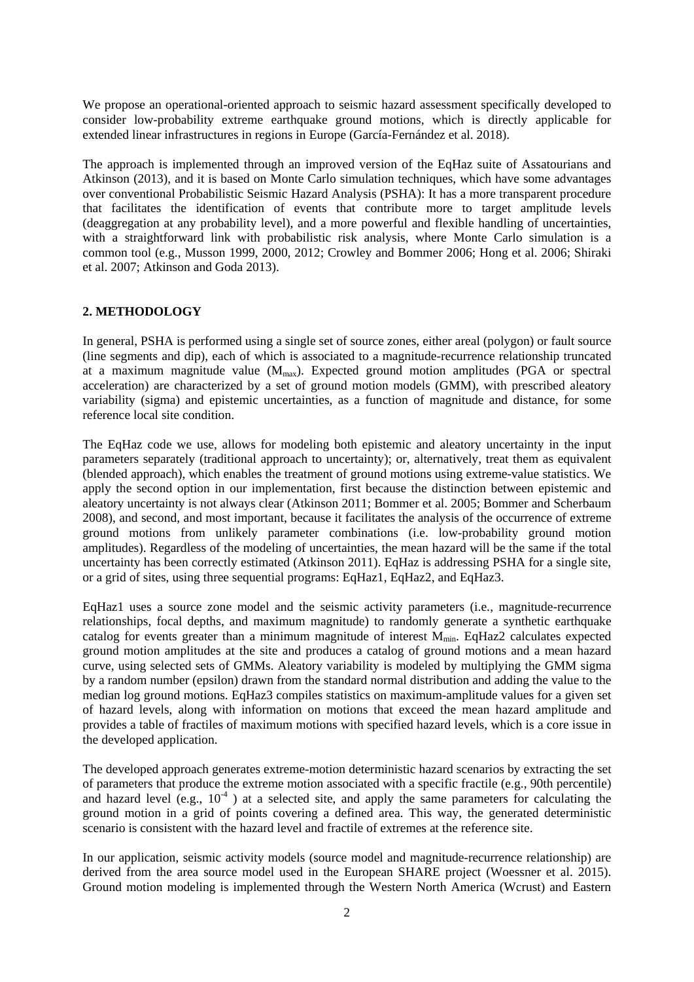We propose an operational-oriented approach to seismic hazard assessment specifically developed to consider low-probability extreme earthquake ground motions, which is directly applicable for extended linear infrastructures in regions in Europe (García-Fernández et al. 2018).

The approach is implemented through an improved version of the EqHaz suite of Assatourians and Atkinson (2013), and it is based on Monte Carlo simulation techniques, which have some advantages over conventional Probabilistic Seismic Hazard Analysis (PSHA): It has a more transparent procedure that facilitates the identification of events that contribute more to target amplitude levels (deaggregation at any probability level), and a more powerful and flexible handling of uncertainties, with a straightforward link with probabilistic risk analysis, where Monte Carlo simulation is a common tool (e.g., Musson 1999, 2000, 2012; Crowley and Bommer 2006; Hong et al. 2006; Shiraki et al. 2007; Atkinson and Goda 2013).

## **2. METHODOLOGY**

In general, PSHA is performed using a single set of source zones, either areal (polygon) or fault source (line segments and dip), each of which is associated to a magnitude-recurrence relationship truncated at a maximum magnitude value  $(M_{max})$ . Expected ground motion amplitudes (PGA or spectral acceleration) are characterized by a set of ground motion models (GMM), with prescribed aleatory variability (sigma) and epistemic uncertainties, as a function of magnitude and distance, for some reference local site condition.

The EqHaz code we use, allows for modeling both epistemic and aleatory uncertainty in the input parameters separately (traditional approach to uncertainty); or, alternatively, treat them as equivalent (blended approach), which enables the treatment of ground motions using extreme-value statistics. We apply the second option in our implementation, first because the distinction between epistemic and aleatory uncertainty is not always clear (Atkinson 2011; Bommer et al. 2005; Bommer and Scherbaum 2008), and second, and most important, because it facilitates the analysis of the occurrence of extreme ground motions from unlikely parameter combinations (i.e. low-probability ground motion amplitudes). Regardless of the modeling of uncertainties, the mean hazard will be the same if the total uncertainty has been correctly estimated (Atkinson 2011). EqHaz is addressing PSHA for a single site, or a grid of sites, using three sequential programs: EqHaz1, EqHaz2, and EqHaz3.

EqHaz1 uses a source zone model and the seismic activity parameters (i.e., magnitude-recurrence relationships, focal depths, and maximum magnitude) to randomly generate a synthetic earthquake catalog for events greater than a minimum magnitude of interest  $M_{min}$ . EqHaz2 calculates expected ground motion amplitudes at the site and produces a catalog of ground motions and a mean hazard curve, using selected sets of GMMs. Aleatory variability is modeled by multiplying the GMM sigma by a random number (epsilon) drawn from the standard normal distribution and adding the value to the median log ground motions. EqHaz3 compiles statistics on maximum-amplitude values for a given set of hazard levels, along with information on motions that exceed the mean hazard amplitude and provides a table of fractiles of maximum motions with specified hazard levels, which is a core issue in the developed application.

The developed approach generates extreme-motion deterministic hazard scenarios by extracting the set of parameters that produce the extreme motion associated with a specific fractile (e.g., 90th percentile) and hazard level (e.g.,  $10^{-4}$ ) at a selected site, and apply the same parameters for calculating the ground motion in a grid of points covering a defined area. This way, the generated deterministic scenario is consistent with the hazard level and fractile of extremes at the reference site.

In our application, seismic activity models (source model and magnitude-recurrence relationship) are derived from the area source model used in the European SHARE project (Woessner et al. 2015). Ground motion modeling is implemented through the Western North America (Wcrust) and Eastern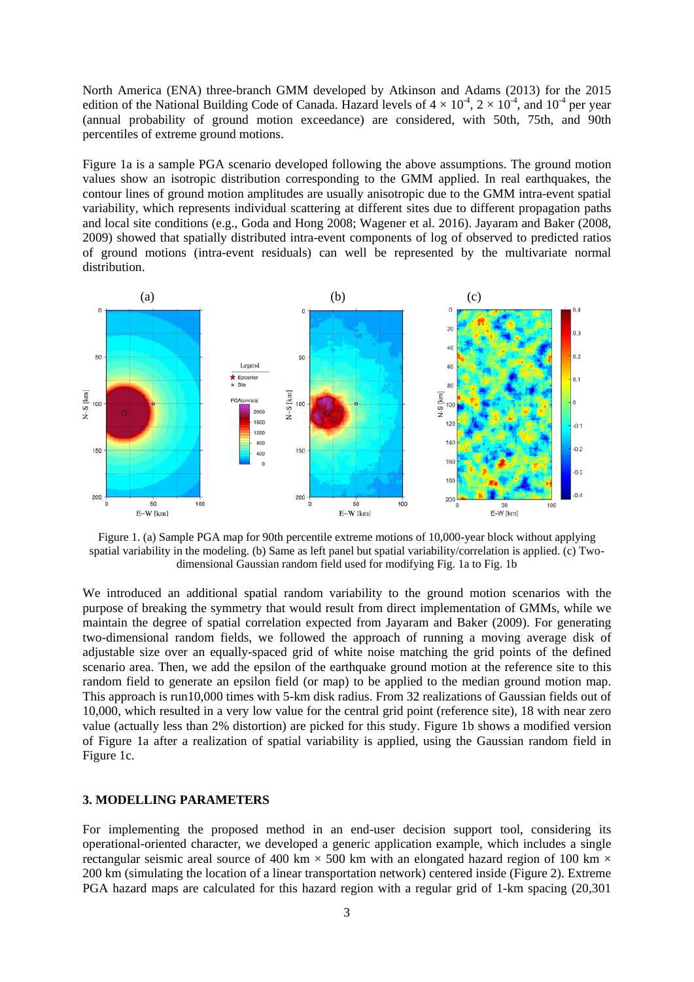North America (ENA) three-branch GMM developed by Atkinson and Adams (2013) for the 2015 edition of the National Building Code of Canada. Hazard levels of  $4 \times 10^{-4}$ ,  $2 \times 10^{-4}$ , and  $10^{-4}$  per year (annual probability of ground motion exceedance) are considered, with 50th, 75th, and 90th percentiles of extreme ground motions.

Figure 1a is a sample PGA scenario developed following the above assumptions. The ground motion values show an isotropic distribution corresponding to the GMM applied. In real earthquakes, the contour lines of ground motion amplitudes are usually anisotropic due to the GMM intra-event spatial variability, which represents individual scattering at different sites due to different propagation paths and local site conditions (e.g., Goda and Hong 2008; Wagener et al. 2016). Jayaram and Baker (2008, 2009) showed that spatially distributed intra-event components of log of observed to predicted ratios of ground motions (intra-event residuals) can well be represented by the multivariate normal distribution.



Figure 1. (a) Sample PGA map for 90th percentile extreme motions of 10,000-year block without applying spatial variability in the modeling. (b) Same as left panel but spatial variability/correlation is applied. (c) Twodimensional Gaussian random field used for modifying Fig. 1a to Fig. 1b

We introduced an additional spatial random variability to the ground motion scenarios with the purpose of breaking the symmetry that would result from direct implementation of GMMs, while we maintain the degree of spatial correlation expected from Jayaram and Baker (2009). For generating two-dimensional random fields, we followed the approach of running a moving average disk of adjustable size over an equally-spaced grid of white noise matching the grid points of the defined scenario area. Then, we add the epsilon of the earthquake ground motion at the reference site to this random field to generate an epsilon field (or map) to be applied to the median ground motion map. This approach is run10,000 times with 5-km disk radius. From 32 realizations of Gaussian fields out of 10,000, which resulted in a very low value for the central grid point (reference site), 18 with near zero value (actually less than 2% distortion) are picked for this study. Figure 1b shows a modified version of Figure 1a after a realization of spatial variability is applied, using the Gaussian random field in Figure 1c.

#### **3. MODELLING PARAMETERS**

For implementing the proposed method in an end-user decision support tool, considering its operational-oriented character, we developed a generic application example, which includes a single rectangular seismic areal source of 400 km  $\times$  500 km with an elongated hazard region of 100 km  $\times$ 200 km (simulating the location of a linear transportation network) centered inside (Figure 2). Extreme PGA hazard maps are calculated for this hazard region with a regular grid of 1-km spacing (20,301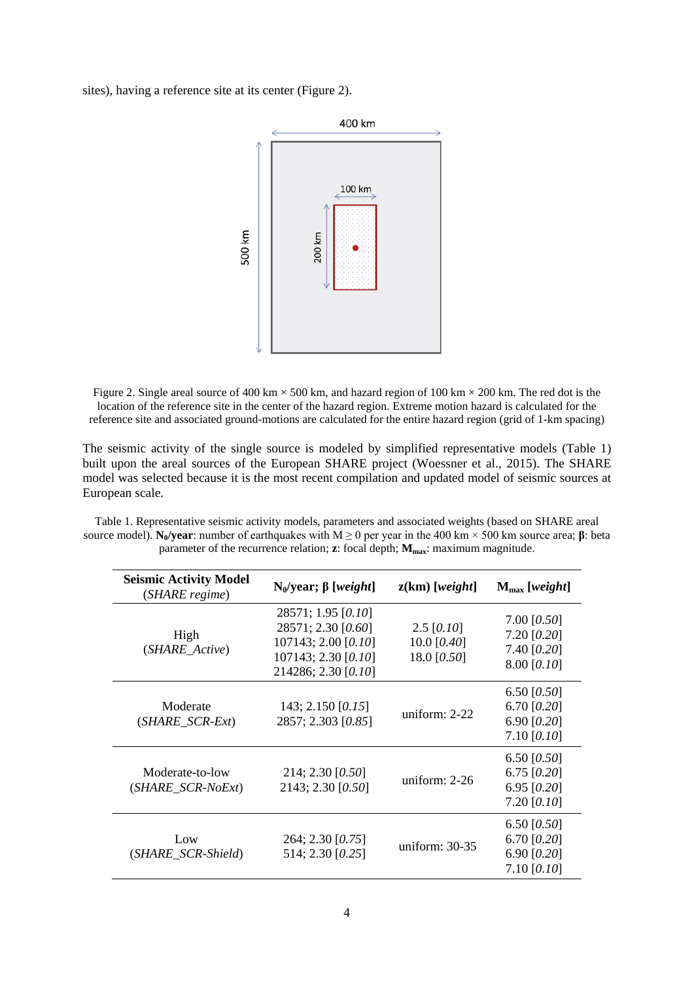sites), having a reference site at its center (Figure 2).



Figure 2. Single areal source of 400 km  $\times$  500 km, and hazard region of 100 km  $\times$  200 km. The red dot is the location of the reference site in the center of the hazard region. Extreme motion hazard is calculated for the reference site and associated ground-motions are calculated for the entire hazard region (grid of 1-km spacing)

The seismic activity of the single source is modeled by simplified representative models (Table 1) built upon the areal sources of the European SHARE project (Woessner et al., 2015). The SHARE model was selected because it is the most recent compilation and updated model of seismic sources at European scale.

Table 1. Representative seismic activity models, parameters and associated weights (based on SHARE areal source model). **N<sub>0</sub>/year**: number of earthquakes with M ≥ 0 per year in the 400 km × 500 km source area; **β**: beta parameter of the recurrence relation; **z**: focal depth;  $M_{\text{max}}$ : maximum magnitude.

| <b>Seismic Activity Model</b><br>(SHARE regime) | $N_0$ /year; β [weight]                                                                                       | $z(km)$ [weight]                             | $M_{\text{max}}$ [weight]                                        |
|-------------------------------------------------|---------------------------------------------------------------------------------------------------------------|----------------------------------------------|------------------------------------------------------------------|
| High<br>(SHARE_Active)                          | 28571; 1.95 [0.10]<br>28571; 2.30 [0.60]<br>107143; 2.00 [0.10]<br>107143; 2.30 [0.10]<br>214286; 2.30 [0.10] | $2.5$ [0.10]<br>10.0 $[0.40]$<br>18.0 [0.50] | 7.00 $[0.50]$<br>$7.20$ [0.20]<br>7.40 [0.20]<br>8.00 [0.10]     |
| Moderate<br>$(SHARE_SCR\text{-}Ext)$            | 143; 2.150 [0.15]<br>2857; 2.303 [0.85]                                                                       | uniform: 2-22                                | 6.50 $[0.50]$<br>6.70 $[0.20]$<br>6.90 $[0.20]$<br>7.10 $[0.10]$ |
| Moderate-to-low<br>(SHARE_SCR-NoExt)            | 214; 2.30 [0.50]<br>2143; 2.30 [0.50]                                                                         | uniform: $2-26$                              | 6.50 $[0.50]$<br>6.75 $[0.20]$<br>6.95 $[0.20]$<br>7.20 $[0.10]$ |
| Low<br>(SHARE_SCR-Shield)                       | 264; 2.30 [0.75]<br>514; 2.30 [0.25]                                                                          | uniform: 30-35                               | 6.50 $[0.50]$<br>6.70 $[0.20]$<br>6.90 $[0.20]$<br>7.10 $[0.10]$ |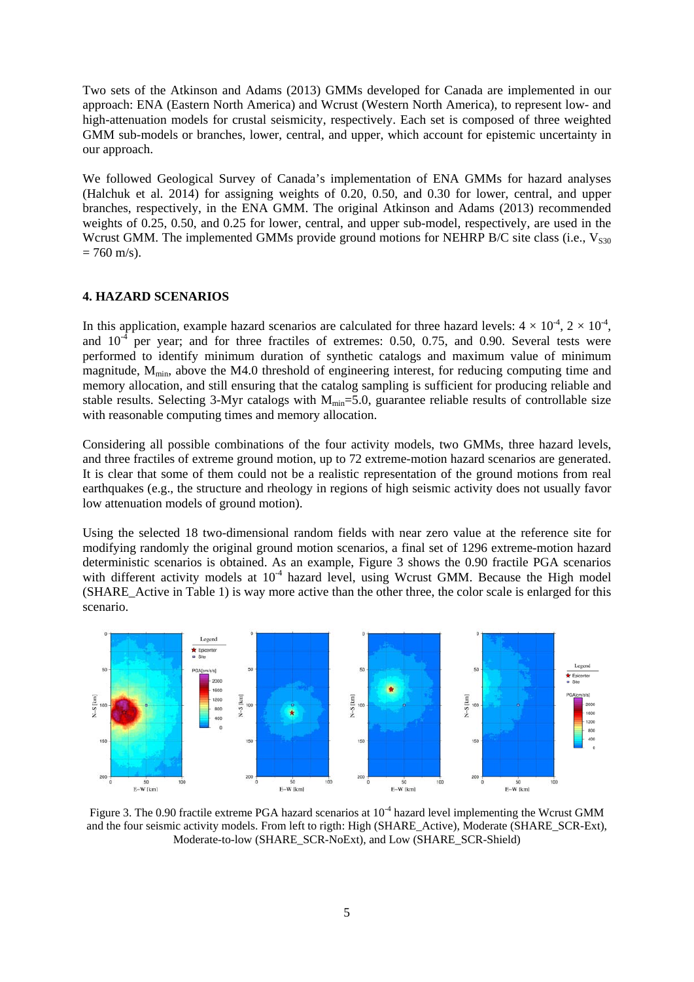Two sets of the Atkinson and Adams (2013) GMMs developed for Canada are implemented in our approach: ENA (Eastern North America) and Wcrust (Western North America), to represent low- and high-attenuation models for crustal seismicity, respectively. Each set is composed of three weighted GMM sub-models or branches, lower, central, and upper, which account for epistemic uncertainty in our approach.

We followed Geological Survey of Canada's implementation of ENA GMMs for hazard analyses (Halchuk et al. 2014) for assigning weights of 0.20, 0.50, and 0.30 for lower, central, and upper branches, respectively, in the ENA GMM. The original Atkinson and Adams (2013) recommended weights of 0.25, 0.50, and 0.25 for lower, central, and upper sub-model, respectively, are used in the Wcrust GMM. The implemented GMMs provide ground motions for NEHRP B/C site class (i.e.,  $V_{\text{S30}}$ )  $= 760$  m/s).

#### **4. HAZARD SCENARIOS**

In this application, example hazard scenarios are calculated for three hazard levels:  $4 \times 10^{-4}$ ,  $2 \times 10^{-4}$ , and  $10^{-4}$  per year; and for three fractiles of extremes: 0.50, 0.75, and 0.90. Several tests were performed to identify minimum duration of synthetic catalogs and maximum value of minimum magnitude,  $M_{\text{min}}$ , above the M4.0 threshold of engineering interest, for reducing computing time and memory allocation, and still ensuring that the catalog sampling is sufficient for producing reliable and stable results. Selecting 3-Myr catalogs with  $M_{min}$ =5.0, guarantee reliable results of controllable size with reasonable computing times and memory allocation.

Considering all possible combinations of the four activity models, two GMMs, three hazard levels, and three fractiles of extreme ground motion, up to 72 extreme-motion hazard scenarios are generated. It is clear that some of them could not be a realistic representation of the ground motions from real earthquakes (e.g., the structure and rheology in regions of high seismic activity does not usually favor low attenuation models of ground motion).

Using the selected 18 two-dimensional random fields with near zero value at the reference site for modifying randomly the original ground motion scenarios, a final set of 1296 extreme-motion hazard deterministic scenarios is obtained. As an example, Figure 3 shows the 0.90 fractile PGA scenarios with different activity models at  $10<sup>-4</sup>$  hazard level, using Wcrust GMM. Because the High model (SHARE\_Active in Table 1) is way more active than the other three, the color scale is enlarged for this scenario.



Figure 3. The 0.90 fractile extreme PGA hazard scenarios at  $10^{-4}$  hazard level implementing the Wcrust GMM and the four seismic activity models. From left to rigth: High (SHARE\_Active), Moderate (SHARE\_SCR-Ext), Moderate-to-low (SHARE\_SCR-NoExt), and Low (SHARE\_SCR-Shield)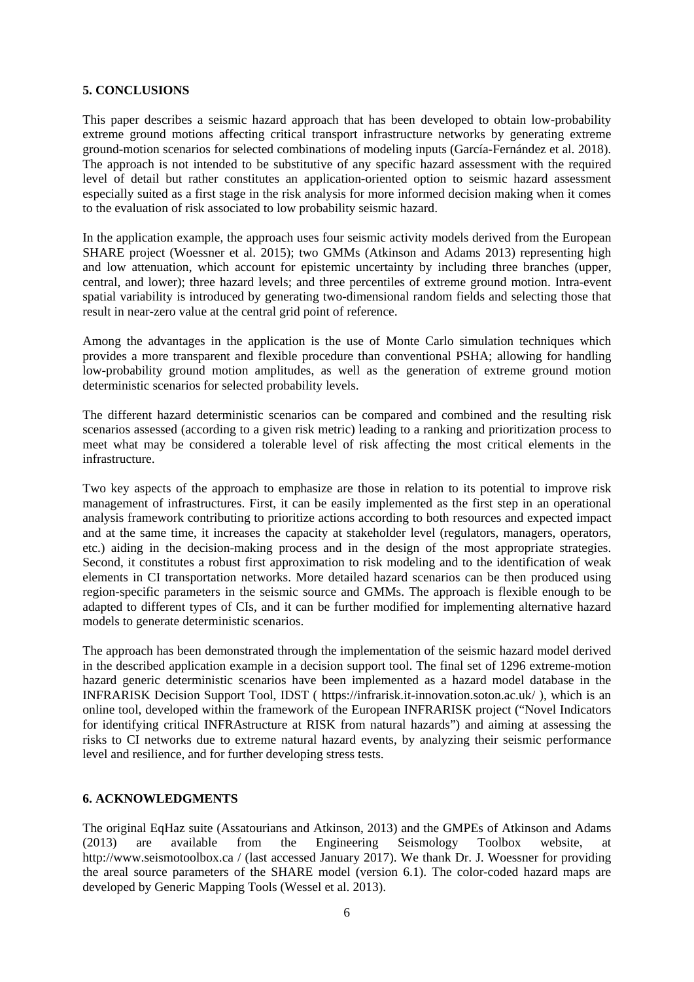## **5. CONCLUSIONS**

This paper describes a seismic hazard approach that has been developed to obtain low-probability extreme ground motions affecting critical transport infrastructure networks by generating extreme ground-motion scenarios for selected combinations of modeling inputs (García-Fernández et al. 2018). The approach is not intended to be substitutive of any specific hazard assessment with the required level of detail but rather constitutes an application-oriented option to seismic hazard assessment especially suited as a first stage in the risk analysis for more informed decision making when it comes to the evaluation of risk associated to low probability seismic hazard.

In the application example, the approach uses four seismic activity models derived from the European SHARE project (Woessner et al. 2015); two GMMs (Atkinson and Adams 2013) representing high and low attenuation, which account for epistemic uncertainty by including three branches (upper, central, and lower); three hazard levels; and three percentiles of extreme ground motion. Intra-event spatial variability is introduced by generating two-dimensional random fields and selecting those that result in near-zero value at the central grid point of reference.

Among the advantages in the application is the use of Monte Carlo simulation techniques which provides a more transparent and flexible procedure than conventional PSHA; allowing for handling low-probability ground motion amplitudes, as well as the generation of extreme ground motion deterministic scenarios for selected probability levels.

The different hazard deterministic scenarios can be compared and combined and the resulting risk scenarios assessed (according to a given risk metric) leading to a ranking and prioritization process to meet what may be considered a tolerable level of risk affecting the most critical elements in the infrastructure.

Two key aspects of the approach to emphasize are those in relation to its potential to improve risk management of infrastructures. First, it can be easily implemented as the first step in an operational analysis framework contributing to prioritize actions according to both resources and expected impact and at the same time, it increases the capacity at stakeholder level (regulators, managers, operators, etc.) aiding in the decision-making process and in the design of the most appropriate strategies. Second, it constitutes a robust first approximation to risk modeling and to the identification of weak elements in CI transportation networks. More detailed hazard scenarios can be then produced using region-specific parameters in the seismic source and GMMs. The approach is flexible enough to be adapted to different types of CIs, and it can be further modified for implementing alternative hazard models to generate deterministic scenarios.

The approach has been demonstrated through the implementation of the seismic hazard model derived in the described application example in a decision support tool. The final set of 1296 extreme-motion hazard generic deterministic scenarios have been implemented as a hazard model database in the INFRARISK Decision Support Tool, IDST ( https://infrarisk.it-innovation.soton.ac.uk/ ), which is an online tool, developed within the framework of the European INFRARISK project ("Novel Indicators for identifying critical INFRAstructure at RISK from natural hazards") and aiming at assessing the risks to CI networks due to extreme natural hazard events, by analyzing their seismic performance level and resilience, and for further developing stress tests.

#### **6. ACKNOWLEDGMENTS**

The original EqHaz suite (Assatourians and Atkinson, 2013) and the GMPEs of Atkinson and Adams (2013) are available from the Engineering Seismology Toolbox website. at (2013) are available from the Engineering Seismology Toolbox website, at http://www.seismotoolbox.ca / (last accessed January 2017). We thank Dr. J. Woessner for providing the areal source parameters of the SHARE model (version 6.1). The color-coded hazard maps are developed by Generic Mapping Tools (Wessel et al. 2013).